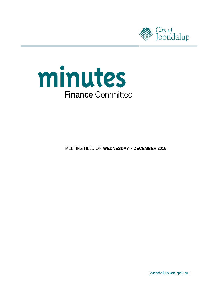



**MEETING HELD ON WEDNESDAY 7 DECEMBER 2016** 

joondalup.wa.gov.au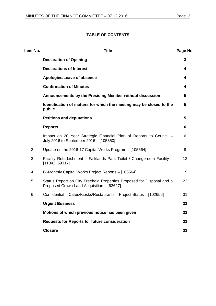## **TABLE OF CONTENTS**

| Item No.       | <b>Title</b>                                                                                                       | Page No. |
|----------------|--------------------------------------------------------------------------------------------------------------------|----------|
|                | <b>Declaration of Opening</b>                                                                                      | 3        |
|                | <b>Declarations of Interest</b>                                                                                    | 4        |
|                | Apologies/Leave of absence                                                                                         | 4        |
|                | <b>Confirmation of Minutes</b>                                                                                     | 4        |
|                | Announcements by the Presiding Member without discussion                                                           | 5        |
|                | Identification of matters for which the meeting may be closed to the<br>public                                     | 5        |
|                | <b>Petitions and deputations</b>                                                                                   | 5        |
|                | <b>Reports</b>                                                                                                     | 6        |
| $\mathbf{1}$   | Impact on 20 Year Strategic Financial Plan of Reports to Council -<br>July 2016 to September 2016 - [105350]       | 6        |
| $\overline{2}$ | Update on the 2016-17 Capital Works Program - [105564]                                                             | 9        |
| 3              | Facility Refurbishment - Falklands Park Toilet / Changeroom Facility -<br>[11042, 69317]                           | 12       |
| 4              | Bi-Monthly Capital Works Project Reports - [105564]                                                                | 19       |
| 5              | Status Report on City Freehold Properties Proposed for Disposal and a<br>Proposed Crown Land Acquisition - [63627] | 22       |
| 6              | Confidential - Cafés/Kiosks/Restaurants - Project Status - [102656]                                                | 31       |
|                | <b>Urgent Business</b>                                                                                             | 33       |
|                | Motions of which previous notice has been given                                                                    | 33       |
|                | <b>Requests for Reports for future consideration</b>                                                               | 33       |
|                | <b>Closure</b>                                                                                                     | 33       |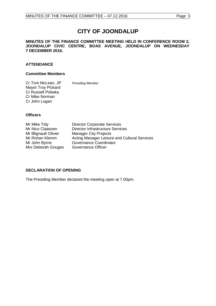# **CITY OF JOONDALUP**

#### **MINUTES OF THE FINANCE COMMITTEE MEETING HELD IN CONFERENCE ROOM 2, JOONDALUP CIVIC CENTRE, BOAS AVENUE, JOONDALUP ON WEDNESDAY 7 DECEMBER 2016.**

## **ATTENDANCE**

#### **Committee Members**

Cr Tom McLean, JP *Presiding Member* Mayor Troy Pickard Cr Russell Poliwka Cr Mike Norman Cr John Logan

#### **Officers**

Mrs Deborah Gouges

Mr Mike Tidy **Director Corporate Services**<br>Mr Nico Claassen **Director Infrastructure Servic** Mr Nico Claassen Director Infrastructure Services<br>
Mr Blignault Olivier Manager City Projects Mr Blignault Olivier Manager City Projects<br>Mr Rohan Klemm Acting Manager Leisur Mr Rohan Klemm Acting Manager Leisure and Cultural Services<br>Mr John Byrne Governance Coordinator Governance Coordinator<br>Governance Officer

## <span id="page-2-0"></span>**DECLARATION OF OPENING**

<span id="page-2-1"></span>The Presiding Member declared the meeting open at 7.00pm.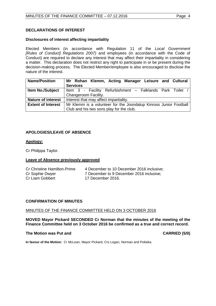## **DECLARATIONS OF INTEREST**

## **Disclosures of interest affecting impartiality**

Elected Members (in accordance with Regulation 11 of the *Local Government [Rules of Conduct] Regulations 2007)* and employees (in accordance with the Code of Conduct) are required to declare any interest that may affect their impartiality in considering a matter. This declaration does not restrict any right to participate in or be present during the decision-making process. The Elected Member/employee is also encouraged to disclose the nature of the interest.

| <b>Name/Position</b>      | Mr Rohan Klemm, Acting Manager Leisure and Cultural               |  |
|---------------------------|-------------------------------------------------------------------|--|
|                           | <b>Services</b>                                                   |  |
| <b>Item No./Subject</b>   | Item 3 - Facility Refurbishment - Falklands Park Toilet /         |  |
|                           | Changeroom Facility.                                              |  |
| <b>Nature of interest</b> | Interest that may affect impartiality.                            |  |
| <b>Extent of Interest</b> | Mr Klemm is a volunteer for the Joondalup Kinross Junior Football |  |
|                           | Club and his two sons play for the club.                          |  |

## <span id="page-3-0"></span>**APOLOGIES/LEAVE OF ABSENCE**

### **Apology:**

Cr Philippa Taylor.

#### **Leave of Absence previously approved**

| Cr Christine Hamilton-Prime | 4 December to 10 December 2016 inclusive; |
|-----------------------------|-------------------------------------------|
| Cr Sophie Dwyer             | 7 December to 9 December 2016 inclusive:  |
| Cr Liam Gobbert             | 17 December 2016.                         |

#### **CONFIRMATION OF MINUTES**

#### MINUTES OF THE FINANCE COMMITTEE HELD ON 3 OCTOBER 2016

**MOVED Mayor Pickard SECONDED Cr Norman that the minutes of the meeting of the Finance Committee held on 3 October 2016 be confirmed as a true and correct record.**

#### **The Motion was Put and CARRIED (5/0)**

<span id="page-3-1"></span>

<span id="page-3-2"></span>**In favour of the Motion:** Cr McLean, Mayor Pickard, Crs Logan, Norman and Poliwka.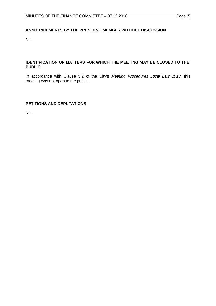## **ANNOUNCEMENTS BY THE PRESIDING MEMBER WITHOUT DISCUSSION**

Nil.

## <span id="page-4-0"></span>**IDENTIFICATION OF MATTERS FOR WHICH THE MEETING MAY BE CLOSED TO THE PUBLIC**

In accordance with Clause 5.2 of the City's *Meeting Procedures Local Law 2013*, this meeting was not open to the public.

## <span id="page-4-1"></span>**PETITIONS AND DEPUTATIONS**

Nil.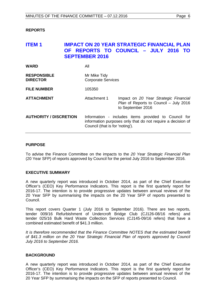#### <span id="page-5-0"></span>**REPORTS**

## <span id="page-5-1"></span>**ITEM 1 IMPACT ON 20 YEAR STRATEGIC FINANCIAL PLAN OF REPORTS TO COUNCIL – JULY 2016 TO SEPTEMBER 2016**

| <b>WARD</b>                           | All                                       |                                                                                                                     |
|---------------------------------------|-------------------------------------------|---------------------------------------------------------------------------------------------------------------------|
| <b>RESPONSIBLE</b><br><b>DIRECTOR</b> | Mr Mike Tidy<br><b>Corporate Services</b> |                                                                                                                     |
| <b>FILE NUMBER</b>                    | 105350                                    |                                                                                                                     |
| <b>ATTACHMENT</b>                     | Attachment 1                              | Impact on 20 Year Strategic Financial<br>Plan of Reports to Council - July 2016<br>to September 2016                |
| <b>AUTHORITY / DISCRETION</b>         | Council (that is for 'noting').           | Information - includes items provided to Council for<br>information purposes only that do not require a decision of |

#### **PURPOSE**

To advise the Finance Committee on the impacts to the *20 Year Strategic Financial Plan* (20 Year SFP) of reports approved by Council for the period July 2016 to September 2016.

#### **EXECUTIVE SUMMARY**

A new quarterly report was introduced in October 2014, as part of the Chief Executive Officer's (CEO) Key Performance Indicators. This report is the first quarterly report for 2016-17. The intention is to provide progressive updates between annual reviews of the 20 Year SFP by summarising the impacts on the 20 Year SFP of reports presented to Council.

This report covers Quarter 1 (July 2016 to September 2016). There are two reports, tender 009/16 Refurbishment of Undercroft Bridge Club (CJ126-08/16 refers) and tender 025/16 Bulk Hard Waste Collection Services (CJ145-09/16 refers) that have a combined estimated benefit of \$41.3 million.

*It is therefore recommended that the Finance Committee NOTES that the estimated benefit of \$41.3 million on the 20 Year Strategic Financial Plan of reports approved by Council July 2016 to September 2016.*

#### **BACKGROUND**

A new quarterly report was introduced in October 2014, as part of the Chief Executive Officer's (CEO) Key Performance Indicators. This report is the first quarterly report for 2016-17. The intention is to provide progressive updates between annual reviews of the 20 Year SFP by summarising the impacts on the SFP of reports presented to Council.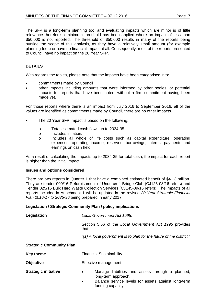The SFP is a long-term planning tool and evaluating impacts which are minor is of little relevance therefore a minimum threshold has been applied where an impact of less than \$50,000 is not reported. The threshold of \$50,000 results in many of the reports being outside the scope of this analysis, as they have a relatively small amount (for example planning fees) or have no financial impact at all. Consequently, most of the reports presented to Council have no impact on the 20 Year SFP.

## **DETAILS**

With regards the tables, please note that the impacts have been categorised into:

- commitments made by Council
- other impacts including amounts that were informed by other bodies, or potential impacts for reports that have been noted, without a firm commitment having been made yet.

For those reports where there is an impact from July 2016 to September 2016, all of the values are identified as commitments made by Council, there are no other impacts.

- The 20 Year SFP Impact is based on the following:
	- o Total estimated cash flows up to 2034-35.<br>
	o Includes inflation.
	- o Includes inflation.<br>
	o Includes all who
	- Includes all whole of life costs such as capital expenditure, operating expenses, operating income, reserves, borrowings, interest payments and earnings on cash held.

As a result of calculating the impacts up to 2034-35 for total cash, the impact for each report is higher than the initial impact.

#### **Issues and options considered**

There are two reports in Quarter 1 that have a combined estimated benefit of \$41.3 million. They are tender 009/16 Refurbishment of Undercroft Bridge Club (CJ126-08/16 refers) and Tender 025/16 Bulk Hard Waste Collection Services (CJ145-09/16 refers). The impacts of all reports included in Attachment 1 will be updated in the revised *20 Year Strategic Financial Plan 2016-17 to 2035-36* being prepared in early 2017.

#### **Legislation / Strategic Community Plan / policy implications**

| Legislation                     | Local Government Act 1995.                                                                                                                                            |  |
|---------------------------------|-----------------------------------------------------------------------------------------------------------------------------------------------------------------------|--|
|                                 | Section 5.56 of the Local Government Act 1995 provides<br>that:                                                                                                       |  |
|                                 | "(1) A local government is to plan for the future of the district."                                                                                                   |  |
| <b>Strategic Community Plan</b> |                                                                                                                                                                       |  |
| <b>Key theme</b>                | Financial Sustainability.                                                                                                                                             |  |
| <b>Objective</b>                | Effective management.                                                                                                                                                 |  |
| <b>Strategic initiative</b>     | Manage liabilities and assets through a planned,<br>$\bullet$<br>long-term approach.<br>Balance service levels for assets against long-term<br>٠<br>funding capacity. |  |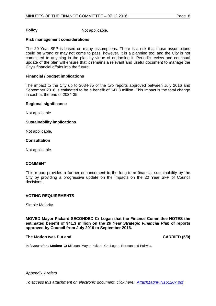**Policy** Not applicable.

#### **Risk management considerations**

The 20 Year SFP is based on many assumptions. There is a risk that those assumptions could be wrong or may not come to pass, however, it is a planning tool and the City is not committed to anything in the plan by virtue of endorsing it. Periodic review and continual update of the plan will ensure that it remains a relevant and useful document to manage the City's financial affairs into the future.

#### **Financial / budget implications**

The impact to the City up to 2034-35 of the two reports approved between July 2016 and September 2016 is estimated to be a benefit of \$41.3 million. This impact is the total change in cash at the end of 2034-35.

#### **Regional significance**

Not applicable.

#### **Sustainability implications**

Not applicable.

#### **Consultation**

Not applicable.

#### **COMMENT**

This report provides a further enhancement to the long-term financial sustainability by the City by providing a progressive update on the impacts on the 20 Year SFP of Council decisions.

#### **VOTING REQUIREMENTS**

Simple Majority.

**MOVED Mayor Pickard SECONDED Cr Logan that the Finance Committee NOTES the estimated benefit of \$41.3 million on the** *20 Year Strategic Financial Plan* **of reports approved by Council from July 2016 to September 2016.**

#### **The Motion was Put and CARRIED (5/0)**

**In favour of the Motion:** Cr McLean, Mayor Pickard, Crs Logan, Norman and Poliwka.

#### *Appendix 1 refers*

*[To access this attachment on electronic document, click here: Attach1agnFIN161207.pdf](http://www.joondalup.wa.gov.au/files/committees/FINC/2016/Attach1agnFIN161207.pdf)*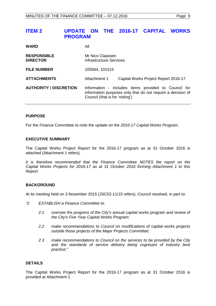## <span id="page-8-0"></span>**ITEM 2 UPDATE ON THE 2016-17 CAPITAL WORKS PROGRAM**

| <b>WARD</b>                           | All                                                                                                                                                    |  |
|---------------------------------------|--------------------------------------------------------------------------------------------------------------------------------------------------------|--|
| <b>RESPONSIBLE</b><br><b>DIRECTOR</b> | Mr Nico Claassen<br>Infrastructure Services                                                                                                            |  |
| <b>FILE NUMBER</b>                    | 105564, 101515                                                                                                                                         |  |
| <b>ATTACHMENTS</b>                    | Attachment 1<br>Capital Works Project Report 2016-17                                                                                                   |  |
| <b>AUTHORITY / DISCRETION</b>         | Information - includes items provided to Council for<br>information purposes only that do not require a decision of<br>Council (that is for 'noting'). |  |

#### **PURPOSE**

For the Finance Committee to note the update on the *2016-17 Capital Works Program*.

#### **EXECUTIVE SUMMARY**

The Capital Works Project Report for the 2016-17 program as at 31 October 2016 is attached (Attachment 1 refers).

*It is therefore recommended that the Finance Committee NOTES the report on the Capital Works Projects for 2016-17 as at 31 October 2016 forming Attachment 1 to this Report.*

#### **BACKGROUND**

At its meeting held on 3 November 2015 (JSC02-11/15 refers), Council resolved, in part to:

- *"2 ESTABLISH a Finance Committee to:*
	- *2.1 oversee the progress of the City's annual capital works program and review of the City's Five Year Capital Works Program;*
	- *2.2 make recommendations to Council on modifications of capital works projects outside those projects of the Major Projects Committee;*
	- *2.3 make recommendations to Council on the services to be provided by the City and the standards of service delivery being cognisant of industry best practice;"*

#### **DETAILS**

The Capital Works Project Report for the 2016-17 program as at 31 October 2016 is provided at Attachment 1.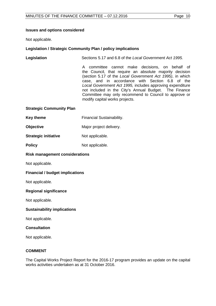#### **Issues and options considered**

Not applicable.

#### **Legislation / Strategic Community Plan / policy implications**

| Legislation | Sections 5.17 and 6.8 of the Local Government Act 1995.                                                                                                                                                                                                                                                                                                                                                                                     |
|-------------|---------------------------------------------------------------------------------------------------------------------------------------------------------------------------------------------------------------------------------------------------------------------------------------------------------------------------------------------------------------------------------------------------------------------------------------------|
|             | A committee cannot make decisions, on behalf of<br>the Council, that require an absolute majority decision<br>(section 5.17 of the Local Government Act 1995), in which<br>case, and in accordance with Section 6.8 of the<br>Local Government Act 1995, includes approving expenditure<br>not included in the City's Annual Budget. The Finance<br>Committee may only recommend to Council to approve or<br>modify capital works projects. |
|             |                                                                                                                                                                                                                                                                                                                                                                                                                                             |

#### **Strategic Community Plan**

| <b>Key theme</b> | <b>Financial Sustainability.</b> |
|------------------|----------------------------------|
|                  |                                  |

- **Objective** Major project delivery.
- **Strategic initiative** Not applicable.
- **Policy** Not applicable.

#### **Risk management considerations**

Not applicable.

#### **Financial / budget implications**

Not applicable.

#### **Regional significance**

Not applicable.

#### **Sustainability implications**

Not applicable.

#### **Consultation**

Not applicable.

#### **COMMENT**

The Capital Works Project Report for the 2016-17 program provides an update on the capital works activities undertaken as at 31 October 2016.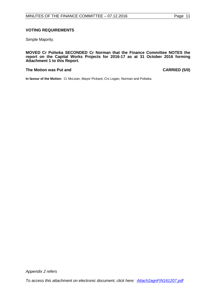### **VOTING REQUIREMENTS**

Simple Majority.

**MOVED Cr Poliwka SECONDED Cr Norman that the Finance Committee NOTES the report on the Capital Works Projects for 2016-17 as at 31 October 2016 forming Attachment 1 to this Report.**

#### **The Motion was Put and CARRIED (5/0)**

**In favour of the Motion:** Cr McLean, Mayor Pickard, Crs Logan, Norman and Poliwka.

*Appendix 2 refers*

*[To access this attachment on electronic document, click here: Attach2agnFIN161207.pdf](http://www.joondalup.wa.gov.au/files/committees/FINC/2016/Attach2agnFIN161207.pdf)*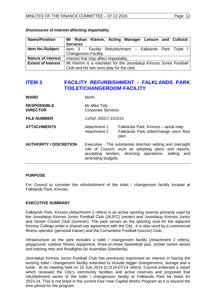| <b>Name/Position</b>      | Mr Rohan Klemm, Acting Manager Leisure and Cultural               |  |
|---------------------------|-------------------------------------------------------------------|--|
|                           | <b>Services</b>                                                   |  |
| Item No./Subject          | Item 3 - Facility Refurbishment - Falklands Park Toilet           |  |
|                           | Changeroom Facility.                                              |  |
| <b>Nature of interest</b> | Interest that may affect impartiality.                            |  |
| <b>Extent of Interest</b> | Mr Klemm is a volunteer for the Joondalup Kinross Junior Football |  |
|                           | Club and his two sons play for the club.                          |  |

#### **Disclosures of interest affecting impartiality**

## <span id="page-11-0"></span>**ITEM 3 FACILITY REFURBISHMENT - FALKLANDS PARK TOILET/CHANGEROOM FACILITY**

| <b>WARD</b>                           | <b>North</b>                                                                                                                                                                                     |                                                                                         |
|---------------------------------------|--------------------------------------------------------------------------------------------------------------------------------------------------------------------------------------------------|-----------------------------------------------------------------------------------------|
| <b>RESPONSIBLE</b><br><b>DIRECTOR</b> | Mr Mike Tidy<br><b>Corporate Services</b>                                                                                                                                                        |                                                                                         |
| <b>FILE NUMBER</b>                    | 11042, 69317, 101515                                                                                                                                                                             |                                                                                         |
| <b>ATTACHMENTS</b>                    | Attachment 1<br>Attachment 2                                                                                                                                                                     | Falklands Park, Kinross - aerial map<br>Falklands Park toilet/change room floor<br>plan |
| <b>AUTHORITY / DISCRETION</b>         | Executive - The substantial direction setting and oversight<br>role of Council, such as adopting plans and reports,<br>accepting tenders, directing operations, setting and<br>amending budgets. |                                                                                         |

#### **PURPOSE**

For Council to consider the refurbishment of the toilet / changeroom facility located at Falklands Park, Kinross.

#### **EXECUTIVE SUMMARY**

Falklands Park, Kinross (Attachment 1 refers) is an active sporting reserve primarily used by the Joondalup Kinross Junior Football Club (JKJFC) (winter) and Joondalup Kinross Junior and Senior Cricket Club (summer). The park serves as the sporting oval for the adjacent Kinross College under a shared use agreement with the City. It is also used by a commercial fitness operator (personal trainer) and the Currambine Football (soccer) Club.

Infrastructure on the park includes a toilet / changeroom facility (Attachment 2 refers), playground, outdoor fitness equipment, three-on-three basketball pad, cricket centre wicket and training nets and floodlights (to Australian Standards).

Joondalup Kinross Junior Football Club has previously expressed an interest in having the existing toilet / changeroom facility extended to include bigger changerooms, storage and a kiosk. At its meeting held on 15 July 2014 (CJ116-07/14 refers), Council endorsed a report which reviewed the City's community facilities and active reserves and proposed that refurbishment works to the toilet / changeroom facility at Falklands Park be listed for 2023-24. This is not listed in the current *Five Year Capital Works Program* as it is beyond the time period for the program.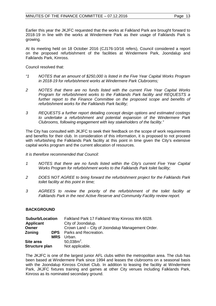Earlier this year the JKJFC requested that the works at Falkland Park are brought forward to 2018-19 in line with the works at Windermere Park as their usage of Falklands Park is growing.

At its meeting held on 18 October 2016 (CJ176-10/16 refers), Council considered a report on the proposed refurbishment of the facilities at Windermere Park, Joondalup and Falklands Park, Kinross.

Council resolved that:

- *"1 NOTES that an amount of \$250,000 is listed in the Five Year Capital Works Program in 2018-19 for refurbishment works at Windermere Park Clubrooms;*
- *2 NOTES that there are no funds listed with the current Five Year Capital Works Program for refurbishment works to the Falklands Park facility and REQUESTS a*  further report to the Finance Committee on the proposed scope and benefits of *refurbishment works for the Falklands Park facility;*
- *3 REQUESTS a further report detailing concept design options and estimated costings to undertake a refurbishment and potential expansion of the Windermere Park Clubrooms, following engagement with key stakeholders of the facility."*

The City has consulted with JKJFC to seek their feedback on the scope of work requirements and benefits for their club. In consideration of this information, it is proposed to not proceed with refurbishing the Falklands Park facility at this point in time given the City's extensive capital works program and the current allocation of resources.

*It is therefore recommended that Council:*

- *1 NOTES that there are no funds listed within the City's current Five Year Capital Works Program for refurbishment works to the Falklands Park toilet facility;*
- *2 DOES NOT AGREE to bring forward the refurbishment project for the Falklands Park toilet facility at this point in time;*
- *3 AGREES to review the priority of the refurbishment of the toilet facility at Falklands Park in the next Active Reserve and Community Facility review report.*

## **BACKGROUND**

| Falkland Park 17 Falkland Way Kinross WA 6028.   |
|--------------------------------------------------|
| City of Joondalup.                               |
| Crown Land – City of Joondalup Management Order. |
| <b>DPS</b> Parks and Recreation.                 |
| Urban.                                           |
| $50.038m^2$ .                                    |
| Not applicable.                                  |
|                                                  |

The JKJFC is one of the largest junior AFL clubs within the metropolitan area. The club has been based at Windermere Park since 1994 and leases the clubrooms on a seasonal basis with the Joondalup Kinross Cricket Club. In addition to leasing the facility at Windermere Park, JKJFC fixtures training and games at other City venues including Falklands Park, Kinross as its nominated secondary ground.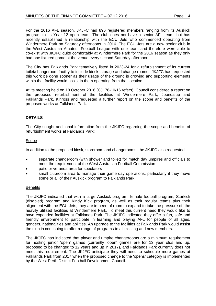For the 2016 AFL season, JKJFC had 896 registered members ranging from its Auskick program to its Year 12 open team. The club does not have a senior AFL team, but has recently established a relationship with the ECU Jets who commenced operating from Windermere Park on Saturday afternoons in 2016. The ECU Jets are a new senior club in the West Australian Amateur Football League with one team and therefore were able to co-exist with JKJFC quite comfortably at Windermere Park for the 2016 season as they only had one fixtured game at the venue every second Saturday afternoon.

The City has Falklands Park tentatively listed in 2023-24 for a refurbishment of its current toilet/changeroom facility to include kiosk, storage and change rooms. JKJFC has requested this work be done sooner as their usage of the ground is growing and supporting elements within that facility would assist in them operating from that location.

At its meeting held on 18 October 2016 (CJ176-10/16 refers), Council considered a report on the proposed refurbishment of the facilities at Windermere Park, Joondalup and Falklands Park, Kinross and requested a further report on the scope and benefits of the proposed works at Falklands Park.

## **DETAILS**

The City sought additional information from the JKJFC regarding the scope and benefits of refurbishment works at Falklands Park:

### Scope

In addition to the proposed kiosk, storeroom and changerooms, the JKJFC also requested:

- separate changeroom (with shower and toilet) for match day umpires and officials to meet the requirement of the West Australian Football Commission
- patio or veranda area for spectators
- small clubroom area to manage their game day operations, particularly if they move some or all of their Auskick program to Falklands Park.

## **Benefits**

The JKJFC indicated that with a large Auskick program, female football program, Starkick (disabled) program and Kindy Kick program, as well as their regular teams plus their alignment with the ECU Jets, they are in need of room to expand to take the pressure off the heavily utilised facilities at Windermere Park. To meet this current need they would like to have expanded facilities at Falklands Park. The JKJFC indicated they offer a fun, safe and friendly environment to participate in learning and playing AFL for people of all ages, genders, nationalities and abilities. An upgrade to the facilities at Falklands Park would assist the club in continuing to offer a range of programs to all existing and new members.

The JKJFC has indicated that player and umpire changerooms are a minimum requirement for hosting junior 'open' games (currently 'open' games are for 13 year olds and up, proposed to be changed to 12 years and up in 2017), and Falklands Park currently does not meet this requirement. The JKJFC anticipate they will need to schedule more games at Falklands Park from 2017 when the proposed change to the 'opens' category is implemented by the West Perth District Football Development Council.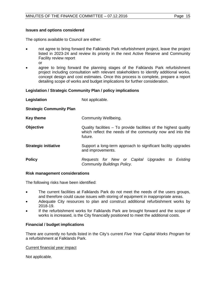#### **Issues and options considered**

The options available to Council are either:

- not agree to bring forward the Falklands Park refurbishment project, leave the project listed in 2023-24 and review its priority in the next Active Reserve and Community Facility review report or
- agree to bring forward the planning stages of the Falklands Park refurbishment project including consultation with relevant stakeholders to identify additional works, concept design and cost estimates. Once this process is complete, prepare a report detailing scope of works and budget implications for further consideration.

#### **Legislation / Strategic Community Plan / policy implications**

| Legislation                     | Not applicable.                                                                                                                           |
|---------------------------------|-------------------------------------------------------------------------------------------------------------------------------------------|
| <b>Strategic Community Plan</b> |                                                                                                                                           |
| <b>Key theme</b>                | Community Wellbeing.                                                                                                                      |
| <b>Objective</b>                | Quality facilities – To provide facilities of the highest quality<br>which reflect the needs of the community now and into the<br>future. |
| <b>Strategic initiative</b>     | Support a long-term approach to significant facility upgrades<br>and improvements.                                                        |
| <b>Policy</b>                   | Requests for New or Capital Upgrades to Existing<br><b>Community Buildings Policy.</b>                                                    |

#### **Risk management considerations**

The following risks have been identified:

- The current facilities at Falklands Park do not meet the needs of the users groups, and therefore could cause issues with storing of equipment in inappropriate areas.
- Adequate City resources to plan and construct additional refurbishment works by 2018-19.
- If the refurbishment works for Falklands Park are brought forward and the scope of works is increased, is the City financially positioned to meet the additional costs.

#### **Financial / budget implications**

There are currently no funds listed in the City's current *Five Year Capital Works Program* for a refurbishment at Falklands Park.

#### Current financial year impact

Not applicable.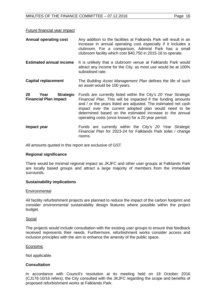| <b>Annual operating cost</b>                                   | Any addition to the facilities at Falkands Park will result in an<br>increase in annual operating cost especially if it includes a<br>clubroom. For a comparison, Admiral Park has a small<br>clubroom facility which cost \$40,750 in 2015-16 to operate.                                                                                                                  |
|----------------------------------------------------------------|-----------------------------------------------------------------------------------------------------------------------------------------------------------------------------------------------------------------------------------------------------------------------------------------------------------------------------------------------------------------------------|
| <b>Estimated annual income</b>                                 | It is unlikely that a clubroom venue at Falklands Park would<br>attract any income for the City, as most use would be at 100%<br>subsidised rate.                                                                                                                                                                                                                           |
| <b>Capital replacement</b>                                     | The Building Asset Management Plan defines the life of such<br>an asset would be 100 years.                                                                                                                                                                                                                                                                                 |
| 20<br><b>Strategic</b><br>Year<br><b>Financial Plan impact</b> | Funds are currently listed within the City's 20 Year Strategic<br>Financial Plan. This will be impacted if the funding amounts<br>and / or the years listed are adjusted. The estimated net cash<br>impact over the current adopted plan would need to be<br>determined based on the estimated increase to the annual<br>operating costs (once known) for a 20 year period. |
| Impact year                                                    | Funds are currently within the City's 20 Year Strategic<br>Financial Plan for 2023-24 for Falklands Park toilet / change<br>rooms.                                                                                                                                                                                                                                          |

All amounts quoted in this report are exclusive of GST.

#### **Regional significance**

There would be minimal regional impact as JKJFC and other user groups at Falklands Park are locally based groups and attract a large majority of members from the immediate surrounds.

#### **Sustainability implications**

#### Environmental

All facility refurbishment projects are planned to reduce the impact of the carbon footprint and consider environmental sustainability design features where possible within the project budget.

#### **Social**

The projects would include consultation with the existing user groups to ensure that feedback received represents their needs. Furthermore, refurbishment works consider access and inclusion principles with the aim to enhance the amenity of the public space.

#### Economic

Not applicable.

#### **Consultation**

In accordance with Council's resolution at its meeting held on 18 October 2016 (CJ176-10/16 refers), the City consulted with the JKJFC regarding the scope and benefits of proposed refurbishment works at Falklands Park.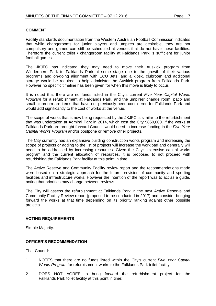#### **COMMENT**

Facility standards documentation from the Western Australian Football Commission indicates that while changerooms for junior players and umpires are desirable, they are not compulsory and games can still be scheduled at venues that do not have these facilities. Therefore the current toilet / changeroom facility at Falklands Park is sufficient for junior football games.

The JKJFC has indicated they may need to move their Auskick program from Windermere Park to Falklands Park at some stage due to the growth of their various programs and on-going alignment with ECU Jets, and a kiosk, clubroom and additional storage would be required to help administer the Auskick program from Falklands Park. However no specific timeline has been given for when this move is likely to occur.

It is noted that there are no funds listed in the City's current *Five Year Capital Works Program* for a refurbishment at Falklands Park, and the umpires' change room, patio and small clubroom are items that have not previously been considered for Falklands Park and would add significantly to the cost of works at the venue.

The scope of works that is now being requested by the JKJFC is similar to the refurbishment that was undertaken at Admiral Park in 2014, which cost the City \$850,000. If the works at Falklands Park are brought forward Council would need to increase funding in the *Five Year Capital Works Program* and/or postpone or remove other projects.

The City currently has an expansive building construction works program and increasing the scope of projects or adding to the list of projects will increase the workload and generally will need to be addressed by increasing resources. Given the City's extensive capital works program and the current allocation of resources, it is proposed to not proceed with refurbishing the Falklands Park facility at this point in time.

The Active Reserve and Community Facility review report and the recommendations made were based on a strategic approach for the future provision of community and sporting facilities and infrastructure works. However the intention of the report was to act as a guide, noting that priorities may change between reviews.

The City will assess the refurbishment at Falklands Park in the next Active Reserve and Community Facility Review report (proposed to be conducted in 2017) and consider bringing forward the works at that time depending on its priority ranking against other possible projects.

#### **VOTING REQUIREMENTS**

Simple Majority.

### **OFFICER'S RECOMMENDATION**

That Council:

- 1 NOTES that there are no funds listed within the City's current *Five Year Capital Works Program* for refurbishment works to the Falklands Park toilet facility;
- 2 DOES NOT AGREE to bring forward the refurbishment project for the Falklands Park toilet facility at this point in time;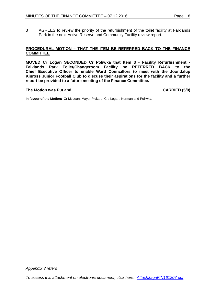3 AGREES to review the priority of the refurbishment of the toilet facility at Falklands Park in the next Active Reserve and Community Facility review report.

#### **PROCEDURAL MOTION – THAT THE ITEM BE REFERRED BACK TO THE FINANCE COMMITTEE**

**MOVED Cr Logan SECONDED Cr Poliwka that Item 3 - Facility Refurbishment - Falklands Park Toilet/Changeroom Facility be REFERRED BACK to the Chief Executive Officer to enable Ward Councillors to meet with the Joondalup Kinross Junior Football Club to discuss their aspirations for the facility and a further report be provided to a future meeting of the Finance Committee.** 

#### **The Motion was Put and CARRIED (5/0)**

**In favour of the Motion:** Cr McLean, Mayor Pickard, Crs Logan, Norman and Poliwka.

*Appendix 3 refers*

*[To access this attachment on electronic document, click here: Attach3agnFIN161207.pdf](http://www.joondalup.wa.gov.au/files/committees/FINC/2016/Attach3agnFIN161207.pdf)*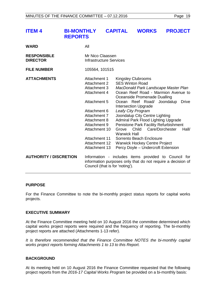<span id="page-18-0"></span>

| <b>ITEM 4</b>                         | <b>BI-MONTHLY</b><br><b>REPORTS</b> |                                                                                                                                                                                                                         | <b>CAPITAL</b>                                                                                                                                                                                               |       | <b>WORKS</b>                                                   | <b>PROJECT</b>                                                                                                                                                                                                                                     |                       |
|---------------------------------------|-------------------------------------|-------------------------------------------------------------------------------------------------------------------------------------------------------------------------------------------------------------------------|--------------------------------------------------------------------------------------------------------------------------------------------------------------------------------------------------------------|-------|----------------------------------------------------------------|----------------------------------------------------------------------------------------------------------------------------------------------------------------------------------------------------------------------------------------------------|-----------------------|
| <b>WARD</b>                           |                                     | All                                                                                                                                                                                                                     |                                                                                                                                                                                                              |       |                                                                |                                                                                                                                                                                                                                                    |                       |
| <b>RESPONSIBLE</b><br><b>DIRECTOR</b> |                                     | Mr Nico Claassen<br><b>Infrastructure Services</b>                                                                                                                                                                      |                                                                                                                                                                                                              |       |                                                                |                                                                                                                                                                                                                                                    |                       |
| <b>FILE NUMBER</b>                    |                                     | 105564, 101515                                                                                                                                                                                                          |                                                                                                                                                                                                              |       |                                                                |                                                                                                                                                                                                                                                    |                       |
| <b>ATTACHMENTS</b>                    |                                     | Attachment 1<br><b>Attachment 2</b><br>Attachment 3<br>Attachment 4<br>Attachment 5<br>Attachment 6<br>Attachment 7<br>Attachment 8<br>Attachment 9<br>Attachment 10<br>Attachment 11<br>Attachment 12<br>Attachment 13 | <b>Kingsley Clubrooms</b><br><b>SES Winton Road</b><br><b>Intersection Upgrade</b><br>Leafy City Program<br>Grove<br><b>Warwick Hall</b><br>Sorrento Beach Enclosure<br><b>Warwick Hockey Centre Project</b> | Child | Oceanside Promenade Dualling<br>Joondalup City Centre Lighting | MacDonald Park Landscape Master Plan<br>Ocean Reef Road - Marmion Avenue to<br>Ocean Reef Road/ Joondalup<br>Admiral Park Flood Lighting Upgrade<br>Penistone Park Facility Refurbishment<br>Care/Dorchester<br>Percy Doyle - Undercroft Extension | <b>Drive</b><br>Hall/ |
| <b>AUTHORITY / DISCRETION</b>         |                                     | Council (that is for 'noting').                                                                                                                                                                                         |                                                                                                                                                                                                              |       |                                                                | Information - includes items provided to Council for<br>information purposes only that do not require a decision of                                                                                                                                |                       |

#### **PURPOSE**

For the Finance Committee to note the bi-monthly project status reports for capital works projects.

#### **EXECUTIVE SUMMARY**

At the Finance Committee meeting held on 10 August 2016 the committee determined which capital works project reports were required and the frequency of reporting. The bi-monthly project reports are attached (Attachments 1-13 refer).

*It is therefore recommended that the Finance Committee NOTES the bi-monthly capital works project reports forming Attachments 1 to 13 to this Report.*

#### **BACKGROUND**

At its meeting held on 10 August 2016 the Finance Committee requested that the following project reports from the *2016-17 Capital Works Program* be provided on a bi-monthly basis: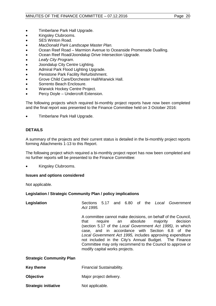- Timberlane Park Hall Upgrade.
- Kingsley Clubrooms.
- SES Winton Road.
- *MacDonald Park Landscape Master Plan.*
- Ocean Reef Road Marmion Avenue to Oceanside Promenade Dualling.
- Ocean Reef Road/Joondalup Drive Intersection Upgrade.
- *Leafy City Program*.
- Joondalup City Centre Lighting.
- Admiral Park Flood Lighting Upgrade.
- Penistone Park Facility Refurbishment.
- Grove Child Care/Dorchester Hall/Warwick Hall.
- Sorrento Beach Enclosure.
- Warwick Hockey Centre Project.
- Percy Doyle Undercroft Extension.

The following projects which required bi-monthly project reports have now been completed and the final report was presented to the Finance Committee held on 3 October 2016:

• Timberlane Park Hall Upgrade.

### **DETAILS**

A summary of the projects and their current status is detailed in the bi-monthly project reports forming Attachments 1-13 to this Report.

The following project which required a bi-monthly project report has now been completed and no further reports will be presented to the Finance Committee:

• Kingsley Clubrooms.

#### **Issues and options considered**

Not applicable.

#### **Legislation / Strategic Community Plan / policy implications**

| Legislation                     | Act 1995.                              |                     |  |  | Sections 5.17 and 6.80 of the Local Government                                                                                                                                                                                                                                                                                                                                       |
|---------------------------------|----------------------------------------|---------------------|--|--|--------------------------------------------------------------------------------------------------------------------------------------------------------------------------------------------------------------------------------------------------------------------------------------------------------------------------------------------------------------------------------------|
|                                 | that<br>modify capital works projects. | require an absolute |  |  | A committee cannot make decisions, on behalf of the Council,<br>majority decision<br>(section 5.17 of the Local Government Act 1995), in which<br>case, and in accordance with Section 6.8 of the<br>Local Government Act 1995, includes approving expenditure<br>not included in the City's Annual Budget. The Finance<br>Committee may only recommend to the Council to approve or |
| <b>Strategic Community Plan</b> |                                        |                     |  |  |                                                                                                                                                                                                                                                                                                                                                                                      |
| Key theme                       | <b>Financial Sustainability.</b>       |                     |  |  |                                                                                                                                                                                                                                                                                                                                                                                      |

- **Objective** Major project delivery.
- **Strategic initiative Mot applicable.**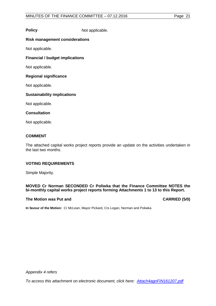**Policy** Not applicable.

### **Risk management considerations**

Not applicable.

**Financial / budget implications**

Not applicable.

#### **Regional significance**

Not applicable.

### **Sustainability implications**

Not applicable.

### **Consultation**

Not applicable.

## **COMMENT**

The attached capital works project reports provide an update on the activities undertaken in the last two months.

## **VOTING REQUIREMENTS**

Simple Majority.

#### **MOVED Cr Norman SECONDED Cr Poliwka that the Finance Committee NOTES the bi-monthly capital works project reports forming Attachments 1 to 13 to this Report.**

#### **The Motion was Put and CARRIED (5/0)**

**In favour of the Motion:** Cr McLean, Mayor Pickard, Crs Logan, Norman and Poliwka.

*Appendix 4 refers*

*[To access this attachment on electronic document, click here: Attach4agnFIN161207.pdf](http://www.joondalup.wa.gov.au/files/committees/FINC/2016/Attach4agnFIN161207.pdf)*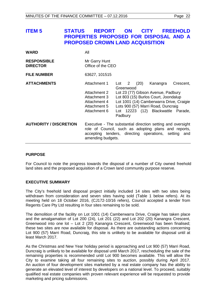# <span id="page-21-0"></span>**ITEM 5 STATUS REPORT ON CITY FREEHOLD PROPERTIES PROPOSED FOR DISPOSAL AND A PROPOSED CROWN LAND ACQUISITION**

| <b>WARD</b>                           | All                                                                                          |                                                                                                                                                                                                                                                                                      |
|---------------------------------------|----------------------------------------------------------------------------------------------|--------------------------------------------------------------------------------------------------------------------------------------------------------------------------------------------------------------------------------------------------------------------------------------|
| <b>RESPONSIBLE</b><br><b>DIRECTOR</b> | Mr Garry Hunt<br>Office of the CEO                                                           |                                                                                                                                                                                                                                                                                      |
| <b>FILE NUMBER</b>                    | 63627, 101515                                                                                |                                                                                                                                                                                                                                                                                      |
| <b>ATTACHMENTS</b>                    | Attachment 1<br>Attachment 2<br>Attachment 3<br>Attachment 4<br>Attachment 5<br>Attachment 6 | Kanangra<br>Crescent,<br>$\overline{2}$<br>(20)<br>Lot<br>Greenwood<br>Lot 23 (77) Gibson Avenue, Padbury<br>Lot 803 (15) Burlos Court, Joondalup<br>Lot 1001 (14) Camberwarra Drive, Craigie<br>Lots 900 (57) Marri Road, Duncraig<br>Lot 12223 (12) Blackwattle Parade,<br>Padbury |
| <b>AUTHORITY / DISCRETION</b>         | amending budgets.                                                                            | Executive - The substantial direction setting and oversight<br>role of Council, such as adopting plans and reports,<br>accepting tenders, directing operations, setting and                                                                                                          |

#### **PURPOSE**

For Council to note the progress towards the disposal of a number of City owned freehold land sites and the proposed acquisition of a Crown land community purpose reserve.

#### **EXECUTIVE SUMMARY**

The City's freehold land disposal project initially included 14 sites with two sites being withdrawn from consideration and seven sites having sold (Table 1 below refers). At its meeting held on 18 October 2016, (CJ172-10/16 refers), Council accepted a tender from Regents Care Pty Ltd resulting in four sites remaining to be sold.

The demolition of the facility on Lot 1001 (14) Camberwarra Drive, Craigie has taken place and the amalgamation of Lot 200 (24), Lot 201 (22) and Lot 202 (20) Kanangra Crescent, Greenwood into one lot – Lot 2 (20) Kanangra Crescent, Greenwood has been finalised; these two sites are now available for disposal. As there are outstanding actions concerning Lot 900 (57) Marri Road, Duncraig, this site is unlikely to be available for disposal until at least March 2017.

As the Christmas and New Year holiday period is approaching and Lot 900 (57) Marri Road, Duncraig is unlikely to be available for disposal until March 2017, rescheduling the sale of the remaining properties is recommended until Lot 900 becomes available. This will allow the City to examine taking all four remaining sites to auction, possibly during April 2017. An auction of four development sites marketed by a real estate company has the ability to generate an elevated level of interest by developers on a national level. To proceed, suitably qualified real estate companies with proven relevant experience will be requested to provide marketing and pricing submissions.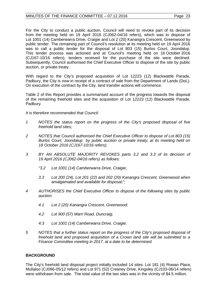For the City to conduct a public auction, Council will need to revoke part of its decision from the meeting held on 19 April 2016 (CJ062-04/16 refers), which was to dispose of Lot 1001 (14) Camberwarra Drive, Craigie and Lot 2 (20) Kanangra Crescent, Greenwood by public tender. The remaining part of Council's resolution at its meeting held on 19 April 2016 was to call a public tender for the disposal of Lot 803 (15) Burlos Court, Joondalup. This tender process was actioned and at Council's meeting held on 18 October 2016 (CJ167-10/16 refers), tenders received for the purchase of the site were declined. Subsequently, Council authorised the Chief Executive Officer to dispose of the site by public auction, or private treaty.

With regard to the City's proposed acquisition of Lot 12223 (12) Blackwattle Parade, Padbury, the City is now in receipt of a contract of sale from the Department of Lands (DoL). On execution of the contract by the City, land transfer actions will commence.

Table 2 of this Report provides a summarised account of the progress towards the disposal of the remaining freehold sites and the acquisition of Lot 12223 (12) Blackwattle Parade, Padbury.

*It is therefore recommended that Council:* 

- *1 NOTES the status report on the progress of the City's proposed disposal of five freehold land sites;*
- *2 NOTES that Council authorised the Chief Executive Officer to dispose of Lot 803 (15) Burlos Court, Joondalup by public auction or private treaty, at its meeting held on 18 October 2016 (CJ167-10/16 refers);*
- *3 BY AN ABSOLUTE MAJORITY REVOKES parts 3.2 and 3.3 of its decision of 19 April 2016 (CJ062-04/16 refers) as follows:*
	- *"3.2 Lot 1001 (14) Camberwarra Drive, Craigie;*
	- *3.3 Lot 200 (24), Lot 201 (22) and 202 (20) Kanangra Crescent, Greenwood when amalgamated and available for disposal;";*
- *4 AUTHORISES the Chief Executive Officer to dispose of the following sites by public auction:*
	- *4.1 Lot 2 (20) Kanangra Crescent, Greenwood;*
	- *4.2 Lot 900 (57) Marri Road, Duncraig;*
	- *4.3 Lot 1001 (14) Camberwarra Drive, Craigie;*
- *5 NOTES that a further status report on the progress of the City's proposed disposal of freehold land and proposed acquisition of a Crown land site will be submitted to a Finance Committee meeting in 2017, at a date to be determined.*

## **BACKGROUND**

The City's freehold land disposal project initially included 14 sites. Lot 181 (4) Rowan Place, Mullaloo (CJ096-05/12 refers) and Lot 971 (52) Creaney Drive, Kingsley (CJ103-06/14 refers) were withdrawn from sale. The total value of the two sites was in the vicinity of \$4.5 million.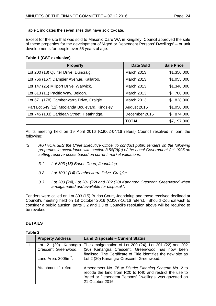Table 1 indicates the seven sites that have sold to-date.

Except for the site that was sold to Masonic Care WA in Kingsley, Council approved the sale of these properties for the development of 'Aged or Dependent Persons' Dwellings' – or unit developments for people over 55 years of age.

## **Table 1 (GST exclusive)**

| <b>Property</b>                                 | <b>Date Sold</b>  | <b>Sale Price</b> |
|-------------------------------------------------|-------------------|-------------------|
| Lot 200 (18) Quilter Drive, Duncraig.           | <b>March 2013</b> | \$1,350,000       |
| Lot 766 (167) Dampier Avenue, Kallaroo.         | <b>March 2013</b> | \$1,055,000       |
| Lot 147 (25) Millport Drive, Warwick.           | <b>March 2013</b> | \$1,340,000       |
| Lot 613 (11) Pacific Way, Beldon.               | <b>March 2013</b> | 700,000<br>\$     |
| Lot 671 (178) Camberwarra Drive, Craigie.       | <b>March 2013</b> | 828,000<br>S.     |
| Part Lot 549 (11) Moolanda Boulevard, Kingsley. | August 2015       | \$1,050,000       |
| Lot 745 (103) Caridean Street, Heathridge.      | December 2015     | 874,000<br>S.     |
|                                                 | <b>TOTAL</b>      | \$7,197,000       |

At its meeting held on 19 April 2016 (CJ062-04/16 refers) Council resolved in part the following:

- *"3 AUTHORISES the Chief Executive Officer to conduct public tenders on the following properties in accordance with section 3.58(2)(b) of the Local Government Act 1995 on setting reserve prices based on current market valuations:* 
	- *3.1 Lot 803 (15) Burlos Court, Joondalup;*
	- *3.2 Lot 1001 (14) Camberwarra Drive, Craigie;*
	- *3.3 Lot 200 (24), Lot 201 (22) and 202 (20) Kanangra Crescent, Greenwood when amalgamated and available for disposal;".*

Tenders were called on Lot 803 (15) Burlos Court, Joondalup and those received declined at Council's meeting held on 18 October 2016 (CJ167-10/16 refers). Should Council wish to consider a public auction, parts 3.2 and 3.3 of Council's resolution above will be required to be revoked.

## **DETAILS**

## **Table 2**

| <b>Property Address</b>                                               | <b>Land Disposals - Current Status</b>                                                                                                                                                                                 |
|-----------------------------------------------------------------------|------------------------------------------------------------------------------------------------------------------------------------------------------------------------------------------------------------------------|
| Lot 2 (20) Kanangra<br>Crescent, Greenwood.<br>Land Area: $3005m^2$ . | The amalgamation of Lot 200 (24), Lot 201 (22) and 202<br>(20) Kanangra Crescent, Greenwood has now been<br>finalised. The Certificate of Title identifies the new site as<br>Lot 2 (20) Kanangra Crescent, Greenwood. |
| Attachment 1 refers.                                                  | Amendment No. 78 to District Planning Scheme No. 2 to<br>recode the land from R20 to R40 and restrict the use to<br>'Aged or Dependent Persons' Dwellings' was gazetted on<br>21 October 2016.                         |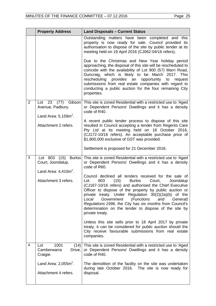|                | <b>Property Address</b>                                                                                                                                                                                                                                                                                                                                                                                                            | <b>Land Disposals - Current Status</b>                                                                                                                                                                                                                                                                                                                                                                                                                                                            |
|----------------|------------------------------------------------------------------------------------------------------------------------------------------------------------------------------------------------------------------------------------------------------------------------------------------------------------------------------------------------------------------------------------------------------------------------------------|---------------------------------------------------------------------------------------------------------------------------------------------------------------------------------------------------------------------------------------------------------------------------------------------------------------------------------------------------------------------------------------------------------------------------------------------------------------------------------------------------|
|                |                                                                                                                                                                                                                                                                                                                                                                                                                                    | Outstanding matters have been completed and this<br>property is now ready for sale. Council provided its<br>authorisation to dispose of the site by public tender at its<br>meeting held on 19 April 2016 (CJ062-04/16 refers).                                                                                                                                                                                                                                                                   |
|                | Due to the Christmas and New Year holiday period<br>approaching, the disposal of this site will be rescheduled to<br>coincide with the availability of Lot 900 (57) Marri Road,<br>Duncraig, which is likely to be March 2017. This<br>rescheduling provides<br>an opportunity<br>to<br>request<br>submissions from real estate companies with regard to<br>conducting a public auction for the four remaining City<br>properties. |                                                                                                                                                                                                                                                                                                                                                                                                                                                                                                   |
| $\overline{2}$ | Lot 23 (77) Gibson<br>Avenue, Padbury.<br>Land Area: $5,159m^2$ .                                                                                                                                                                                                                                                                                                                                                                  | This site is zoned Residential with a restricted use to 'Aged<br>or Dependent Persons' Dwellings and it has a density<br>code of R40.                                                                                                                                                                                                                                                                                                                                                             |
|                | Attachment 2 refers.                                                                                                                                                                                                                                                                                                                                                                                                               | A recent public tender process to dispose of this site<br>resulted in Council accepting a tender from Regents Care<br>Pty Ltd at its meeting held on 18 October 2016,<br>(CJ172-10/16 refers). An acceptable purchase price of<br>\$1,800,000 exclusive of GST was provided.                                                                                                                                                                                                                      |
|                |                                                                                                                                                                                                                                                                                                                                                                                                                                    | Settlement is proposed for 21 December 2016.                                                                                                                                                                                                                                                                                                                                                                                                                                                      |
| 3              | Lot 803 (15) Burlos<br>Court, Joondalup.                                                                                                                                                                                                                                                                                                                                                                                           | This site is zoned Residential with a restricted use to 'Aged<br>or Dependent Persons' Dwellings and it has a density<br>code of R60.                                                                                                                                                                                                                                                                                                                                                             |
|                | Land Area: $4,410m^2$ .<br>Attachment 3 refers.                                                                                                                                                                                                                                                                                                                                                                                    | Council declined all tenders received for the sale of<br>(15)<br><b>Burlos</b><br>Court,<br>Lot<br>803<br>Joondalup<br>(CJ167-10/16 refers) and authorised the Chief Executive<br>Officer to dispose of the property by public auction or<br>private treaty. Under Regulation 30(2)(2a)(b) of the<br>Local<br>Government<br>(Functions<br>and<br>General)<br>Regulations 1996, the City has six months from Council's<br>determination on the tender to dispose of the site by<br>private treaty. |
|                |                                                                                                                                                                                                                                                                                                                                                                                                                                    | Unless this site sells prior to 18 April 2017 by private<br>treaty, it can be considered for public auction should the<br>City receive favourable submissions from real estate<br>companies.                                                                                                                                                                                                                                                                                                      |
| 4              | 1001<br>Lot<br>(14)<br>Camberwarra<br>Drive,<br>Craigie.                                                                                                                                                                                                                                                                                                                                                                           | This site is zoned Residential with a restricted use to 'Aged<br>or Dependent Persons' Dwellings and it has a density<br>code of R40.                                                                                                                                                                                                                                                                                                                                                             |
|                | Land Area: $2,055m^2$ .<br>Attachment 4 refers.                                                                                                                                                                                                                                                                                                                                                                                    | The demolition of the facility on the site was undertaken<br>during late October 2016. The site is now ready for<br>disposal.                                                                                                                                                                                                                                                                                                                                                                     |
|                |                                                                                                                                                                                                                                                                                                                                                                                                                                    |                                                                                                                                                                                                                                                                                                                                                                                                                                                                                                   |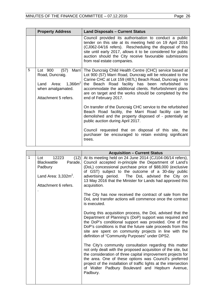|   | <b>Property Address</b>                                                                                  | <b>Land Disposals - Current Status</b>                                                                                                                                                                                                                                                                                                                                                   |
|---|----------------------------------------------------------------------------------------------------------|------------------------------------------------------------------------------------------------------------------------------------------------------------------------------------------------------------------------------------------------------------------------------------------------------------------------------------------------------------------------------------------|
|   |                                                                                                          | Council provided its authorisation to conduct a public<br>tender on this site at its meeting held on 19 April 2016<br>(CJ062-04/16 refers). Rescheduling the disposal of this<br>site until early 2017, allows it to be considered for public<br>auction should the City receive favourable submissions<br>from real estate companies.                                                   |
| 5 | (57)<br>Lot 900<br>Road, Duncraig.<br>Land Area: $1,366m^2$<br>when amalgamated.<br>Attachment 5 refers. | Marri   The Duncraig Child Health Centre (CHC) service based at<br>Lot 900 (57) Marri Road, Duncraig will be relocated to the<br>Carine CHC at Lot 159 (487L) Beach Road, Duncraig once<br>the Beach Road facility has been refurbished to<br>accommodate the additional clients. Refurbishment plans<br>are on target and the works should be completed by the<br>end of February 2017. |
|   |                                                                                                          | On transfer of the Duncraig CHC service to the refurbished<br>Beach Road facility, the Marri Road facility can be<br>demolished and the property disposed of - potentially at<br>public auction during April 2017.                                                                                                                                                                       |
|   |                                                                                                          | Council requested that on disposal of this site, the<br>purchaser be encouraged to retain existing significant<br>trees.                                                                                                                                                                                                                                                                 |

|   |                                                                                                                     | <b>Acquisition - Current Status</b>                                                                                                                                                                                                                                                                                                                                                   |
|---|---------------------------------------------------------------------------------------------------------------------|---------------------------------------------------------------------------------------------------------------------------------------------------------------------------------------------------------------------------------------------------------------------------------------------------------------------------------------------------------------------------------------|
| 1 | 12223<br>(12)<br>Lot<br>Parade,<br><b>Blackwattle</b><br>Padbury<br>Land Area: $3,332m^2$ .<br>Attachment 6 refers. | At its meeting held on 24 June 2014 (CJ104-06/14 refers),<br>Council accepted in-principle the Department of Land's<br>(DoL) concessional purchase price of \$88,000 (exclusive<br>of GST) subject to the outcome of a 30-day public<br>advertising period. The DoL advised the City on<br>13 May 2016 that the Minister for Lands had approved this<br>acquisition.                  |
|   |                                                                                                                     | The City has now received the contract of sale from the<br>DoL and transfer actions will commence once the contract<br>is executed.                                                                                                                                                                                                                                                   |
|   |                                                                                                                     | During this acquisition process, the DoL advised that the<br>Department of Planning's (DoP) support was required and<br>the DoP's conditional support was provided. One of the<br>DoP's conditions is that the future sale proceeds from this<br>site are spent on community projects in line with the<br>definition of "Community Purposes" under DPS2.                              |
|   |                                                                                                                     | The City's community consultation regarding this matter<br>not only dealt with the proposed acquisition of the site, but<br>the consideration of three capital improvement projects for<br>the area. One of these options was Council's preferred<br>project of the installation of traffic lights at the intersection<br>of Walter Padbury Boulevard and Hepburn Avenue,<br>Padbury. |
|   |                                                                                                                     |                                                                                                                                                                                                                                                                                                                                                                                       |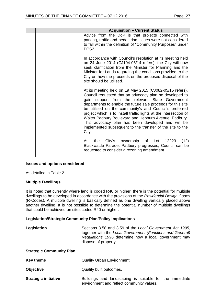| <b>Acquisition - Current Status</b>                                                                                                                                                                                                                                                                                                                                                                                                                                                                                                                       |
|-----------------------------------------------------------------------------------------------------------------------------------------------------------------------------------------------------------------------------------------------------------------------------------------------------------------------------------------------------------------------------------------------------------------------------------------------------------------------------------------------------------------------------------------------------------|
| Advice from the DoP is that projects connected with<br>parking, traffic and pedestrian issues were not considered<br>to fall within the definition of "Community Purposes" under<br>DPS2.                                                                                                                                                                                                                                                                                                                                                                 |
| In accordance with Council's resolution at its meeting held<br>on 24 June 2014 (CJ104-06/14 refers), the City will now<br>seek clarification from the Minister for Planning and the<br>Minister for Lands regarding the conditions provided to the<br>City on how the proceeds on the proposed disposal of the<br>site should be utilised.                                                                                                                                                                                                                |
| At its meeting held on 19 May 2015 (CJ082-05/15 refers),<br>Council requested that an advocacy plan be developed to<br>gain support from the relevant State Government<br>departments to enable the future sale proceeds for this site<br>be utilised on the community's and Council's preferred<br>project which is to install traffic lights at the intersection of<br>Walter Padbury Boulevard and Hepburn Avenue, Padbury.<br>This advocacy plan has been developed and will be<br>implemented subsequent to the transfer of the site to the<br>City. |
| City's ownership of Lot<br>12223<br>(12)<br>As<br>the<br>Blackwattle Parade, Padbury progresses, Council can be<br>requested to consider a rezoning amendment.                                                                                                                                                                                                                                                                                                                                                                                            |

#### **Issues and options considered**

As detailed in Table 2.

#### **Multiple Dwellings**

It is noted that currently where land is coded R40 or higher, there is the potential for multiple dwellings to be developed in accordance with the provisions of the *Residential Design Codes*  (R-Codes). A multiple dwelling is basically defined as one dwelling vertically placed above another dwelling. It is not possible to determine the potential number of multiple dwellings that could be achieved on sites coded R40 or higher.

#### **Legislation/Strategic Community Plan/Policy Implications**

| Legislation                     | Sections 3.58 and 3.59 of the Local Government Act 1995,<br>together with the Local Government (Functions and General)<br>Regulations 1996 determine how a local government may<br>dispose of property. |
|---------------------------------|---------------------------------------------------------------------------------------------------------------------------------------------------------------------------------------------------------|
| <b>Strategic Community Plan</b> |                                                                                                                                                                                                         |
| <b>Key theme</b>                | <b>Quality Urban Environment.</b>                                                                                                                                                                       |
| <b>Objective</b>                | Quality built outcomes.                                                                                                                                                                                 |
| <b>Strategic initiative</b>     | Buildings and landscaping is suitable for the immediate<br>environment and reflect community values.                                                                                                    |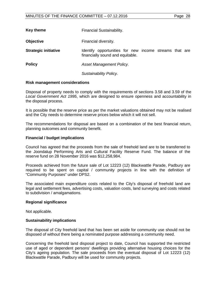| <b>Key theme</b>            | Financial Sustainability.                                                                  |
|-----------------------------|--------------------------------------------------------------------------------------------|
| <b>Objective</b>            | Financial diversity.                                                                       |
| <b>Strategic initiative</b> | Identify opportunities for new income streams that are<br>financially sound and equitable. |
| <b>Policy</b>               | Asset Management Policy.                                                                   |
|                             | Sustainability Policy.                                                                     |

#### **Risk management considerations**

Disposal of property needs to comply with the requirements of sections 3.58 and 3.59 of the *Local Government Act 1995*, which are designed to ensure openness and accountability in the disposal process.

It is possible that the reserve price as per the market valuations obtained may not be realised and the City needs to determine reserve prices below which it will not sell.

The recommendations for disposal are based on a combination of the best financial return, planning outcomes and community benefit.

#### **Financial / budget implications**

Council has agreed that the proceeds from the sale of freehold land are to be transferred to the Joondalup Performing Arts and Cultural Facility Reserve Fund. The balance of the reserve fund on 28 November 2016 was \$12,258,984.

Proceeds achieved from the future sale of Lot 12223 (12) Blackwattle Parade, Padbury are required to be spent on capital / community projects in line with the definition of "Community Purposes" under DPS2.

The associated main expenditure costs related to the City's disposal of freehold land are legal and settlement fees, advertising costs, valuation costs, land surveying and costs related to subdivision / amalgamations.

#### **Regional significance**

Not applicable.

#### **Sustainability implications**

The disposal of City freehold land that has been set aside for community use should not be disposed of without there being a nominated purpose addressing a community need.

Concerning the freehold land disposal project to date, Council has supported the restricted use of aged or dependent persons' dwellings providing alternative housing choices for the City's ageing population. The sale proceeds from the eventual disposal of Lot 12223 (12) Blackwattle Parade, Padbury will be used for community projects.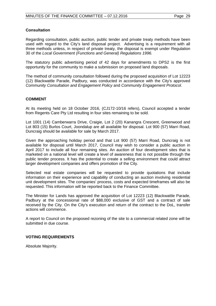#### **Consultation**

Regarding consultation, public auction, public tender and private treaty methods have been used with regard to the City's land disposal project. Advertising is a requirement with all three methods unless, in respect of private treaty, the disposal is exempt under Regulation 30 of the *Local Government (Functions and General) Regulations 1996.*

The statutory public advertising period of 42 days for amendments to DPS2 is the first opportunity for the community to make a submission on proposed land disposals.

The method of community consultation followed during the proposed acquisition of Lot 12223 (12) Blackwattle Parade, Padbury, was conducted in accordance with the City's approved *Community Consultation and Engagement Policy* and *Community Engagement Protocol*.

### **COMMENT**

At its meeting held on 18 October 2016, (CJ172-10/16 refers), Council accepted a tender from Regents Care Pty Ltd resulting in four sites remaining to be sold.

Lot 1001 (14) Camberwarra Drive, Craigie, Lot 2 (20) Kanangra Crescent, Greenwood and Lot 803 (15) Burlos Court, Joondalup are all available for disposal. Lot 900 (57) Marri Road, Duncraig should be available for sale by March 2017.

Given the approaching holiday period and that Lot 900 (57) Marri Road, Duncraig is not available for disposal until March 2017, Council may wish to consider a public auction in April 2017 to include all four remaining sites. An auction of four development sites that is marketed on a national level will create a level of awareness that is not possible through the public tender process. It has the potential to create a selling environment that could attract larger development companies and offers promotion of the City.

Selected real estate companies will be requested to provide quotations that include information on their experience and capability of conducting an auction involving residential unit development sites. The companies' process, costs and expected timeframes will also be requested. This information will be reported back to the Finance Committee.

The Minister for Lands has approved the acquisition of Lot 12223 (12) Blackwattle Parade, Padbury at the concessional rate of \$88,000 exclusive of GST and a contract of sale received by the City. On the City's execution and return of the contract to the DoL, transfer actions will commence.

A report to Council on the proposed rezoning of the site to a commercial related zone will be submitted in due course.

#### **VOTING REQUIREMENTS**

Absolute Majority.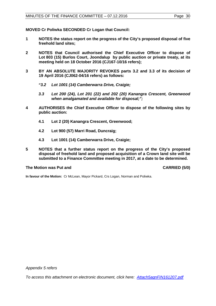**MOVED Cr Poliwka SECONDED Cr Logan that Council:** 

- **1 NOTES the status report on the progress of the City's proposed disposal of five freehold land sites;**
- **2 NOTES that Council authorised the Chief Executive Officer to dispose of Lot 803 (15) Burlos Court, Joondalup by public auction or private treaty, at its meeting held on 18 October 2016 (CJ167-10/16 refers);**
- **3 BY AN ABSOLUTE MAJORITY REVOKES parts 3.2 and 3.3 of its decision of 19 April 2016 (CJ062-04/16 refers) as follows:**
	- *"3.2 Lot 1001 (14) Camberwarra Drive, Craigie;*
	- *3.3 Lot 200 (24), Lot 201 (22) and 202 (20) Kanangra Crescent, Greenwood when amalgamated and available for disposal;";*
- **4 AUTHORISES the Chief Executive Officer to dispose of the following sites by public auction:**
	- **4.1 Lot 2 (20) Kanangra Crescent, Greenwood;**
	- **4.2 Lot 900 (57) Marri Road, Duncraig;**
	- **4.3 Lot 1001 (14) Camberwarra Drive, Craigie;**
- **5 NOTES that a further status report on the progress of the City's proposed disposal of freehold land and proposed acquisition of a Crown land site will be submitted to a Finance Committee meeting in 2017, at a date to be determined.**

#### **The Motion was Put and CARRIED (5/0)**

**In favour of the Motion:** Cr McLean, Mayor Pickard, Crs Logan, Norman and Poliwka.

*Appendix 5 refers*

*[To access this attachment on electronic document, click here: Attach5agnFIN161207.pdf](http://www.joondalup.wa.gov.au/files/committees/FINC/2016/Attach5agnFIN161207.pdf)*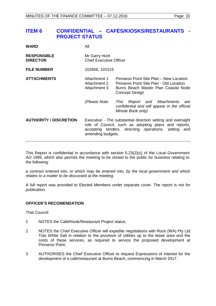# <span id="page-30-0"></span>**ITEM 6 CONFIDENTIAL – CAFÉS/KIOSKS/RESTAURANTS - PROJECT STATUS**

| <b>WARD</b>                           | All                                                                                                                                                                                              |                                                                                                                                              |
|---------------------------------------|--------------------------------------------------------------------------------------------------------------------------------------------------------------------------------------------------|----------------------------------------------------------------------------------------------------------------------------------------------|
| <b>RESPONSIBLE</b><br><b>DIRECTOR</b> | Mr Garry Hunt<br><b>Chief Executive Officer</b>                                                                                                                                                  |                                                                                                                                              |
| <b>FILE NUMBER</b>                    | 102656, 101515                                                                                                                                                                                   |                                                                                                                                              |
| <b>ATTACHMENTS</b>                    | Attachment 1<br>Attachment 2<br>Attachment 3                                                                                                                                                     | Pinnaroo Point Site Plan - New Location<br>Pinnaroo Point Site Plan - Old Location<br>Burns Beach Master Plan Coastal Node<br>Concept Design |
|                                       | (Please Note:                                                                                                                                                                                    | Report and Attachments<br>This<br>are<br>confidential and will appear in the official<br>Minute Book only)                                   |
| <b>AUTHORITY / DISCRETION</b>         | Executive - The substantial direction setting and oversight<br>role of Council, such as adopting plans and reports,<br>accepting tenders, directing operations, setting and<br>amending budgets. |                                                                                                                                              |

This Report is confidential in accordance with section 5.23(2)(c) of the *Local Government Act 1995*, which also permits the meeting to be closed to the public for business relating to the following:

*a contract entered into, or which may be entered into, by the local government and which relates to a matter to be discussed at the meeting.*

A full report was provided to Elected Members under separate cover. The report is not for publication.

## **OFFICER'S RECOMENDATION**

That Council:

- 1 NOTES the Café/Kiosk/Restaurant Project status;
- 2 NOTES the Chief Executive Officer will expedite negotiations with Rock (WA) Pty Ltd T/as White Salt in relation to the provision of utilities up to the lease area and the costs of these services, as required to service the proposed development at Pinnaroo Point;
- 3 AUTHORISES the Chief Executive Officer to request Expressions of Interest for the development of a café/restaurant at Burns Beach, commencing in March 2017.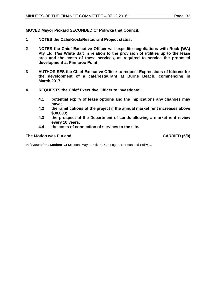**MOVED Mayor Pickard SECONDED Cr Poliwka that Council:**

- **1 NOTES the Café/Kiosk/Restaurant Project status;**
- **2 NOTES the Chief Executive Officer will expedite negotiations with Rock (WA) Pty Ltd T/as White Salt in relation to the provision of utilities up to the lease area and the costs of these services, as required to service the proposed development at Pinnaroo Point;**
- **3 AUTHORISES the Chief Executive Officer to request Expressions of Interest for the development of a café/restaurant at Burns Beach, commencing in March 2017;**
- **4 REQUESTS the Chief Executive Officer to investigate:**
	- **4.1 potential expiry of lease options and the implications any changes may have;**
	- **4.2 the ramifications of the project if the annual market rent increases above \$30,000;**
	- **4.3 the prospect of the Department of Lands allowing a market rent review every 10 years;**
	- **4.4 the costs of connection of services to the site.**

#### **The Motion was Put and CARRIED (5/0)**

**In favour of the Motion:** Cr McLean, Mayor Pickard, Crs Logan, Norman and Poliwka.